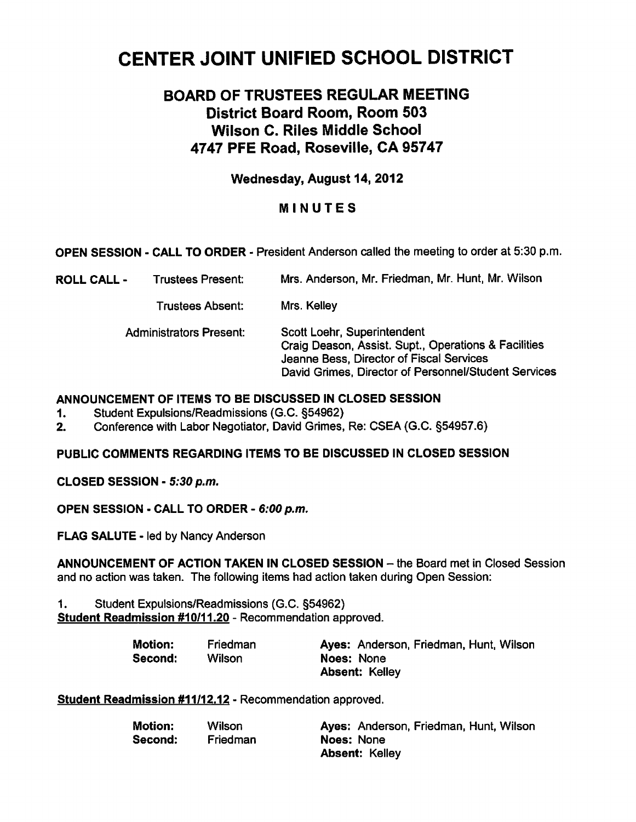# CENTER JOINT UNIFIED SCHOOL DISTRICT

# BOARD OF TRUSTEES REGULAR MEETING District Board Room, Room 503 Wilson C. Riles Middle School 4747 PFE Road, Roseville, CA 95747

# Wednesday, August 14, 2012

# MINUTES

OPEN SESSION - CALL TO ORDER - President Anderson called the meeting to order at 5:30 p.m.

ROLL CALL Trustees Present: Mrs. Anderson, Mr. Friedman, Mr. Hunt, Mr. Wilson

Trustees Absent: Mrs. Kelley

| Administrators Present: | Scott Loehr, Superintendent                          |
|-------------------------|------------------------------------------------------|
|                         | Craig Deason, Assist. Supt., Operations & Facilities |
|                         | Jeanne Bess, Director of Fiscal Services             |
|                         | David Grimes, Director of Personnel/Student Services |

#### ANNOUNCEMENT OF ITEMS TO BE DISCUSSED IN CLOSED SESSION

- 1. Student Expulsions/Readmissions (G.C. §54962)
- 2. Conference with Labor Negotiator, David Grimes, Re: CSEA (G.C. §54957.6)

# PUBLIC COMMENTS REGARDING ITEMS TO BE DISCUSSED IN CLOSED SESSION

CLOSED SESSION - 5:30 p.m.

OPEN SESSION - CALL TO ORDER - 6:00 p.m.

FLAG SALUTE - led by Nancy Anderson

ANNOUNCEMENT OF ACTION TAKEN IN CLOSED SESSION - the Board met in Closed Session and no action was taken. The following items had action taken during Open Session:

1. Student Expulsions/Readmissions (G.C. §54962) Student Readmission #10/11.20 - Recommendation approved.

| <b>Motion:</b> | Friedman | Ayes: Anderson, Friedman, Hunt, Wilson |
|----------------|----------|----------------------------------------|
| Second:        | Wilson   | Noes: None                             |
|                |          | <b>Absent: Kelley</b>                  |

Student Readmission #11/12.12 - Recommendation approved.

| <b>Motion:</b> | Wilson   | Ayes: Anderson, Friedman, Hunt, Wilson |
|----------------|----------|----------------------------------------|
| Second:        | Friedman | <b>Noes: None</b>                      |
|                |          | <b>Absent: Kelley</b>                  |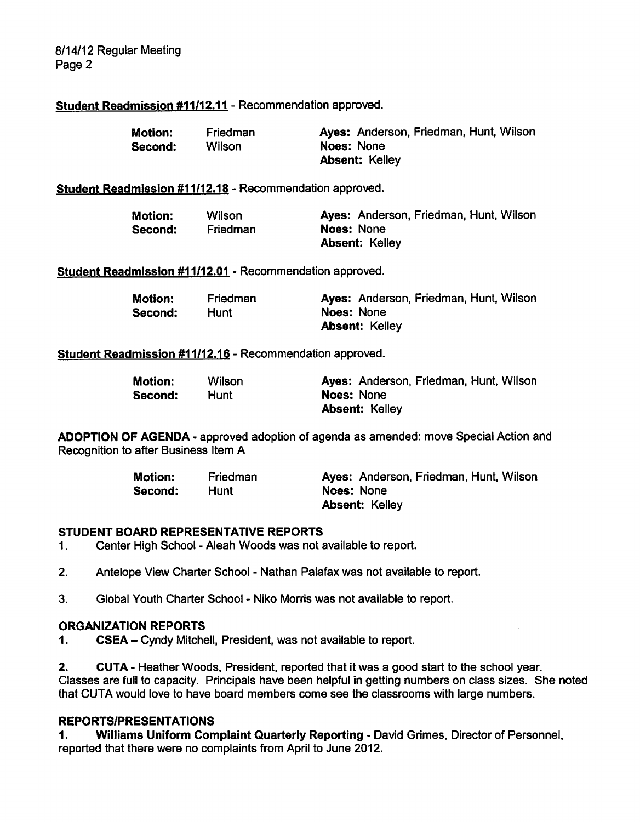8/14/12 Regular Meeting Page 2

# Student Readmission #11/12.11 - Recommendation approved.

| <b>Motion:</b> | Friedman | Ayes: Anderson, Friedman, Hunt, Wilson |
|----------------|----------|----------------------------------------|
| Second:        | Wilson   | Noes: None                             |
|                |          | <b>Absent: Kelley</b>                  |

# Student Readmission #11/12.18 - Recommendation approved.

| <b>Motion:</b> | Wilson   | Ayes: Anderson, Friedman, Hunt, Wilson |
|----------------|----------|----------------------------------------|
| Second:        | Friedman | Noes: None                             |
|                |          | <b>Absent: Kelley</b>                  |

Student Readmission #11/12.01 - Recommendation approved.

| <b>Motion:</b> | Friedman | Ayes: Anderson, Friedman, Hunt, Wilson |
|----------------|----------|----------------------------------------|
| Second:        | Hunt     | Noes: None                             |
|                |          | <b>Absent: Kelley</b>                  |

#### Student Readmission #11/12.16 - Recommendation approved.

| Motion: | Wilson | Ayes: Anderson, Friedman, Hunt, Wilson |
|---------|--------|----------------------------------------|
| Second: | Hunt   | <b>Noes: None</b>                      |
|         |        | <b>Absent: Kelley</b>                  |

ADOPTION OF AGENDA - approved adoption of agenda as amended: move Special Action and Recognition to after Business Item A

| <b>Motion:</b> | Friedman | Ayes: Anderson, Friedman, Hunt, Wilson |
|----------------|----------|----------------------------------------|
| Second:        | Hunt     | Noes: None                             |
|                |          | <b>Absent: Kelley</b>                  |

#### STUDENT BOARD REPRESENTATIVE REPORTS

1. Center High School - Aleah Woods was not available to report.

- 2. Antelope View Charter School Nathan Palafax was not available to report.
- 3. Global Youth Charter School Niko Morris was not available to report.

#### ORGANIZATION REPORTS

1. CSEA – Cyndy Mitchell, President, was not available to report.

2. CUTA - Heather Woods, President, reported that it was a good start to the school year. Classes are full to capacity. Principals have been helpful in getting numbers on class sizes. She noted that CUTA would love to have board members come see the classrooms with large numbers.

#### REPORTS/PRESENTATIONS

1. Williams Uniform Complaint Quarterly Reporting - David Grimes, Director of Personnel, reported that there were no complaints from April to June 2012.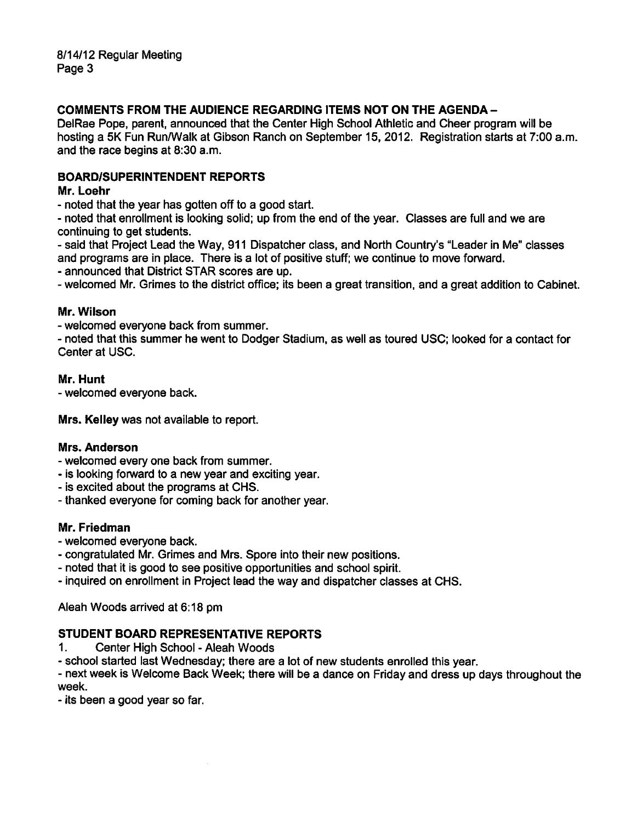# COMMENTS FROM THE AUDIENCE REGARDING ITEMS NOT ON THE AGENDA-

DelRae Pope, parent, announced that the Center High School Athletic and Cheer program will be hosting a 5K Fun Run/Walk at Gibson Ranch on September 15, 2012. Registration starts at 7:00 a.m. and the race begins at 8:30 a.m.

# BOARD/SUPERINTENDENT REPORTS

#### Mr. Loehr

noted that the year has gotten off to a good start.

noted that enrollment is looking solid; up from the end of the year. Classes are full and we are continuing to get students.

said that Project Lead the Way, 911 Dispatcher class, and North Country's "Leader in Me" classes and programs are in place. There is a lot of positive stuff; we continue to move forward.

announced that District STAR scores are up.

welcomed Mr. Grimes to the district office; its been a great transition, and a great addition to Cabinet.

#### Mr. Wilson

welcomed everyone back from summer.

noted that this summer he went to Dodger Stadium, as well as toured USC; looked for a contact for Center at USC.

#### Mr. Hunt

welcomed everyone back.

Mrs. Kelley was not available to report.

#### Mrs. Anderson

welcomed every one back from summer.

- is looking forward to a new year and exciting year.
- is excited about the programs at CHS.
- thanked everyone for coming back for another year.

# Mr. Friedman

- welcomed everyone back.
- congratulated Mr. Grimes and Mrs. Spore into their new positions.
- noted that it is good to see positive opportunities and school spirit.
- inquired on enrollment in Project lead the way and dispatcher classes at CHS.

Aleah Woods arrived at 6:18 pm

# STUDENT BOARD REPRESENTATIVE REPORTS

1. Center High School - Aleah Woods

school started last Wednesday; there are a lot of new students enrolled this year.

next week is Welcome Back Week; there will be a dance on Friday and dress up days throughout the week.

- its been a good year so far.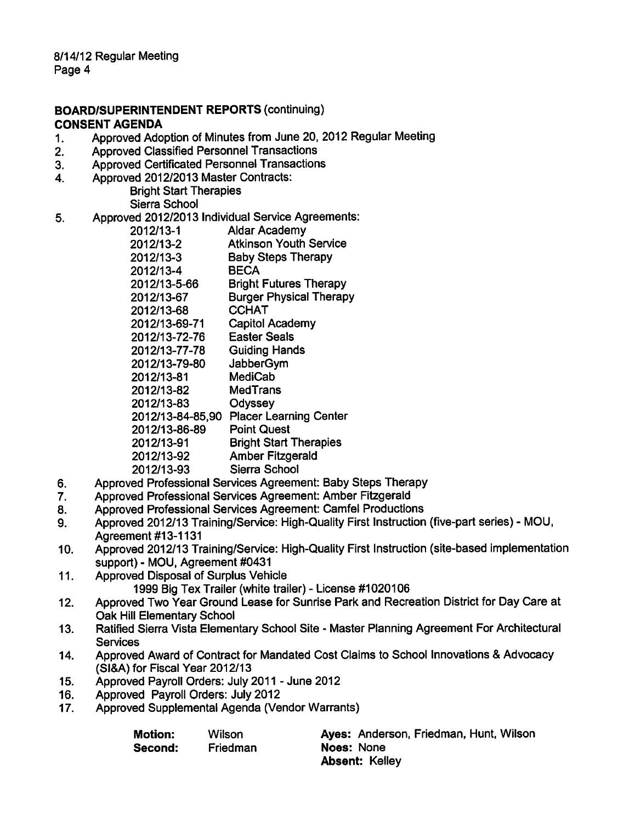# BOARD/SUPERINTENDENT REPORTS (continuing) CONSENT AGENDA

- 1. Approved Adoption of Minutes from June 20, 2012 Regular Meeting
- 2. Approved Classified Personnel Transactions
- 3. Approved Certificated Personnel Transactions
- 4. Approved 2012/2013 Master Contracts:

Bright Start Therapies Sierra School

- 5. Approved 2012/2013 Individual Service Agreements:
	- 2012/13-1 Aldar Academy 2012/13-2 Atkinson Youth Service 2012/13-3 Baby Steps Therapy 2012/13-4 BECA 2012/13-5-66 Bright Futures Therapy 2012/13-67 Burger Physical Therapy 2012/13-68 CCHAT 2012/13-69-71 Capitol Academy 2012/13-72-76 Easter Seals 2012/13-77-78 Guiding Hands 2012/13-79-80 JabberGym 2012/13-81 MediCab 2012/13-82 MedTrans 2012/13-83 Odyssey 2012/13-84-85,90 Placer Learning Center 2012/13-86-89 Point Quest
	- 2012/13-91 Bright Start Therapies
	- 2012/13-92 Amber Fitzgerald
	- 2012/13-93 Sierra School
- 6. Approved Professional Services Agreement: Baby Steps Therapy
- 7. Approved Professional Services Agreement: Amber Fitzgerald
- 8. Approved Professional Services Agreement: Camfel Productions
- 9. Approved 2012/13 Training/Service: High-Quality First Instruction (five-part series) MOU, Agreement #13-1131
- 10. Approved 2012/13 Training/Service: High-Quality First Instruction (site-based implementation support) - MOU, Agreement #0431
- 11. Approved Disposal of Surplus Vehicle 1999 Big Tex Trailer (white trailer) - License #1020106
- 12. Approved Two Year Ground Lease for Sunrise Park and Recreation District for Day Care at Oak Hill Elementary School
- 13. Ratified Sierra Vista Elementary School Site Master Planning Agreement For Architectural **Services**
- 14. Approved Award of Contract for Mandated Cost Claims to School Innovations & Advocacy (SI&A) for Fiscal Year 2012/13
- 15. Approved Payroll Orders: July 2011 June 2012
- 16. Approved Payroll Orders: July 2012
- 17. Approved Supplemental Agenda (Vendor Warrants)

Second: Friedman Noes: None

Motion: Wilson Ayes: Anderson, Friedman, Hunt, Wilson Absent: Kelley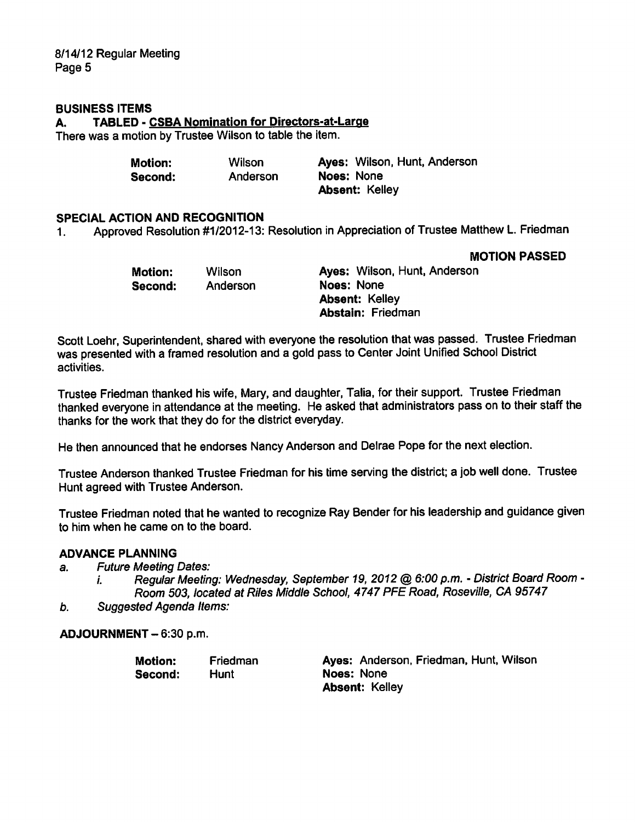8/14/12 Regular Meeting Page 5

#### BUSINESS ITEMS

A. TABLED - CSBA Nomination for Directors-at-Large

There was a motion by Trustee Wilson to table the item.

| Motion: | Wilson   | Ayes: Wilson, Hunt, Anderson |
|---------|----------|------------------------------|
| Second: | Anderson | Noes: None                   |
|         |          | <b>Absent: Kelley</b>        |

# SPECIAL ACTION AND RECOGNITION

1. Approved Resolution #1/2012-13: Resolution in Appreciation of Trustee Matthew L. Friedman

MOTION PASSED

| Motion: | <b>Wilson</b> | Ayes: Wilson, Hunt, Anderson |
|---------|---------------|------------------------------|
| Second: | Anderson      | Noes: None                   |
|         |               | <b>Absent: Kelley</b>        |
|         |               | <b>Abstain: Friedman</b>     |

Scott Loehr, Superintendent, shared with everyone the resolution that was passed. Trustee Friedman was presented with a framed resolution and a gold pass to Center Joint Unified School District activities.

Trustee Friedman thanked his wife, Mary, and daughter, Talia, for their support. Trustee Friedman thanked everyone in attendance at the meeting. He asked that administrators pass on to their staff the thanks for the work that they do for the district everyday.

He then announced that he endorses Nancy Anderson and Delrae Pope for the next election.

Trustee Anderson thanked Trustee Friedman for his time serving the district; a job well done. Trustee Hunt agreed with Trustee Anderson.

Trustee Friedman noted that he wanted to recognize Ray Bender for his leadership and guidance given to him when he came on to the board.

#### ADVANCE PLANNING

a. Future Meeting Dates:

- i. Regular Meeting: Wednesday, September 19, 2012 @ 6:00 p.m. District Board Room -Room 503, located at Riles Middle School, 4747 PFE Road, Roseville, CA 95747
- b. Suggested Agenda Items:

ADJOURNMENT-6:30 p.m.

| Motion: | Friedman | Ayes: Anderson, Friedman, Hunt, Wilson |
|---------|----------|----------------------------------------|
| Second: | Hunt     | Noes: None                             |
|         |          | <b>Absent: Kelley</b>                  |